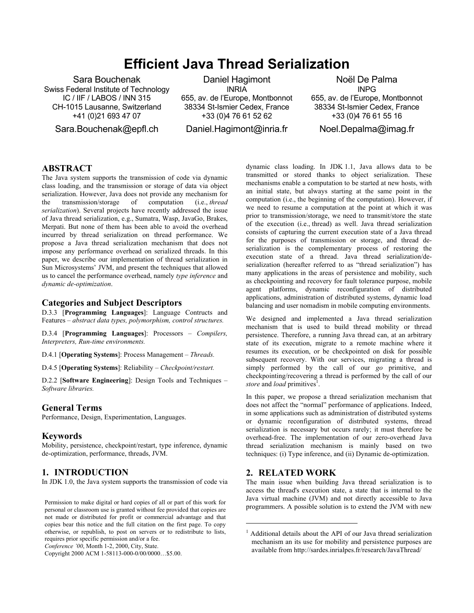# **Efficient Java Thread Serialization**

Sara Bouchenak Swiss Federal Institute of Technology IC / IIF / LABOS / INN 315 CH-1015 Lausanne, Switzerland +41 (0)21 693 47 07

Sara.Bouchenak@epfl.ch

Daniel Hagimont **INRIA** 

655, av. de l'Europe, Montbonnot 38334 St-Ismier Cedex, France +33 (0)4 76 61 52 62

Daniel.Hagimont@inria.fr

Noël De Palma INPG 655, av. de l'Europe, Montbonnot 38334 St-Ismier Cedex, France +33 (0)4 76 61 55 16

Noel.Depalma@imag.fr

## **ABSTRACT**

The Java system supports the transmission of code via dynamic class loading, and the transmission or storage of data via object serialization. However, Java does not provide any mechanism for the transmission/storage of computation (i.e., *thread serialization*). Several projects have recently addressed the issue of Java thread serialization, e.g., Sumatra, Wasp, JavaGo, Brakes, Merpati. But none of them has been able to avoid the overhead incurred by thread serialization on thread performance. We propose a Java thread serialization mechanism that does not impose any performance overhead on serialized threads. In this paper, we describe our implementation of thread serialization in Sun Microsystems' JVM, and present the techniques that allowed us to cancel the performance overhead, namely *type inference* and *dynamic de-optimization*.

#### **Categories and Subject Descriptors**

D.3.3 [**Programming Languages**]: Language Contructs and Features – *abstract data types, polymorphism, control structures.* 

D.3.4 [**Programming Languages**]: Processors – *Compilers, Interpreters, Run-time environments.* 

D.4.1 [**Operating Systems**]: Process Management – *Threads.* 

D.4.5 [**Operating Systems**]: Reliability – *Checkpoint/restart.* 

D.2.2 [**Software Engineering**]: Design Tools and Techniques – *Software libraries.* 

#### **General Terms**

Performance, Design, Experimentation, Languages.

#### **Keywords**

Mobility, persistence, checkpoint/restart, type inference, dynamic de-optimization, performance, threads, JVM.

## **1. INTRODUCTION**

In JDK 1.0, the Java system supports the transmission of code via

Permission to make digital or hard copies of all or part of this work for personal or classroom use is granted without fee provided that copies are not made or distributed for profit or commercial advantage and that copies bear this notice and the full citation on the first page. To copy otherwise, or republish, to post on servers or to redistribute to lists, requires prior specific permission and/or a fee.

*Conference '00*, Month 1-2, 2000, City, State.

Copyright 2000 ACM 1-58113-000-0/00/0000…\$5.00.

dynamic class loading. In JDK 1.1, Java allows data to be transmitted or stored thanks to object serialization. These mechanisms enable a computation to be started at new hosts, with an initial state, but always starting at the same point in the computation (i.e., the beginning of the computation). However, if we need to resume a computation at the point at which it was prior to transmission/storage, we need to transmit/store the state of the execution (i.e., thread) as well. Java thread serialization consists of capturing the current execution state of a Java thread for the purposes of transmission or storage, and thread deserialization is the complementary process of restoring the execution state of a thread. Java thread serialization/deserialization (hereafter referred to as "thread serialization") has many applications in the areas of persistence and mobility, such as checkpointing and recovery for fault tolerance purpose, mobile agent platforms, dynamic reconfiguration of distributed applications, administration of distributed systems, dynamic load balancing and user nomadism in mobile computing environments.

We designed and implemented a Java thread serialization mechanism that is used to build thread mobility or thread persistence. Therefore, a running Java thread can, at an arbitrary state of its execution, migrate to a remote machine where it resumes its execution, or be checkpointed on disk for possible subsequent recovery. With our services, migrating a thread is simply performed by the call of our *go* primitive, and checkpointing/recovering a thread is performed by the call of our store and *load* primitives<sup>1</sup>.

In this paper, we propose a thread serialization mechanism that does not affect the "normal" performance of applications. Indeed, in some applications such as administration of distributed systems or dynamic reconfiguration of distributed systems, thread serialization is necessary but occurs rarely; it must therefore be overhead-free. The implementation of our zero-overhead Java thread serialization mechanism is mainly based on two techniques: (i) Type inference, and (ii) Dynamic de-optimization.

# **2. RELATED WORK**

1

The main issue when building Java thread serialization is to access the thread's execution state, a state that is internal to the Java virtual machine (JVM) and not directly accessible to Java programmers. A possible solution is to extend the JVM with new

<sup>&</sup>lt;sup>1</sup> Additional details about the API of our Java thread serialization mechanism an its use for mobility and persistence purposes are available from http://sardes.inrialpes.fr/research/JavaThread/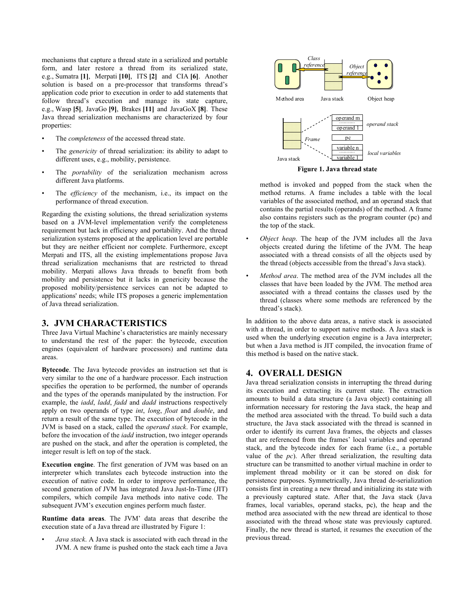mechanisms that capture a thread state in a serialized and portable form, and later restore a thread from its serialized state, e.g., Sumatra **[1]**, Merpati **[10]**, ITS **[2]** and CIA **[6]**. Another solution is based on a pre-processor that transforms thread's application code prior to execution in order to add statements that follow thread's execution and manage its state capture, e.g., Wasp **[5]**, JavaGo **[9]**, Brakes **[11]** and JavaGoX **[8]**. These Java thread serialization mechanisms are characterized by four properties:

- The *completeness* of the accessed thread state.
- The *genericity* of thread serialization: its ability to adapt to different uses, e.g., mobility, persistence.
- The *portability* of the serialization mechanism across different Java platforms.
- The *efficiency* of the mechanism, i.e., its impact on the performance of thread execution.

Regarding the existing solutions, the thread serialization systems based on a JVM-level implementation verify the completeness requirement but lack in efficiency and portability. And the thread serialization systems proposed at the application level are portable but they are neither efficient nor complete. Furthermore, except Merpati and ITS, all the existing implementations propose Java thread serialization mechanisms that are restricted to thread mobility. Merpati allows Java threads to benefit from both mobility and persistence but it lacks in genericity because the proposed mobility/persistence services can not be adapted to applications' needs; while ITS proposes a generic implementation of Java thread serialization.

#### **3. JVM CHARACTERISTICS**

Three Java Virtual Machine's characteristics are mainly necessary to understand the rest of the paper: the bytecode, execution engines (equivalent of hardware processors) and runtime data areas.

**Bytecode**. The Java bytecode provides an instruction set that is very similar to the one of a hardware processor. Each instruction specifies the operation to be performed, the number of operands and the types of the operands manipulated by the instruction. For example, the *iadd*, *ladd*, *fadd* and *dadd* instructions respectively apply on two operands of type *int*, *long*, *float* and *double*, and return a result of the same type. The execution of bytecode in the JVM is based on a stack, called the *operand stack*. For example, before the invocation of the *iadd* instruction, two integer operands are pushed on the stack, and after the operation is completed, the integer result is left on top of the stack.

**Execution engine**. The first generation of JVM was based on an interpreter which translates each bytecode instruction into the execution of native code. In order to improve performance, the second generation of JVM has integrated Java Just-In-Time (JIT) compilers, which compile Java methods into native code. The subsequent JVM's execution engines perform much faster.

**Runtime data areas**. The JVM' data areas that describe the execution state of a Java thread are illustrated by Figure 1:

• *Java stack*. A Java stack is associated with each thread in the JVM. A new frame is pushed onto the stack each time a Java



**Figure 1. Java thread state** 

method is invoked and popped from the stack when the method returns. A frame includes a table with the local variables of the associated method, and an operand stack that contains the partial results (operands) of the method. A frame also contains registers such as the program counter (pc) and the top of the stack.

- *Object heap*. The heap of the JVM includes all the Java objects created during the lifetime of the JVM. The heap associated with a thread consists of all the objects used by the thread (objects accessible from the thread's Java stack).
- *Method area*. The method area of the JVM includes all the classes that have been loaded by the JVM. The method area associated with a thread contains the classes used by the thread (classes where some methods are referenced by the thread's stack).

In addition to the above data areas, a native stack is associated with a thread, in order to support native methods. A Java stack is used when the underlying execution engine is a Java interpreter; but when a Java method is JIT compiled, the invocation frame of this method is based on the native stack.

### **4. OVERALL DESIGN**

Java thread serialization consists in interrupting the thread during its execution and extracting its current state. The extraction amounts to build a data structure (a Java object) containing all information necessary for restoring the Java stack, the heap and the method area associated with the thread. To build such a data structure, the Java stack associated with the thread is scanned in order to identify its current Java frames, the objects and classes that are referenced from the frames' local variables and operand stack, and the bytecode index for each frame (i.e., a portable value of the *pc*). After thread serialization, the resulting data structure can be transmitted to another virtual machine in order to implement thread mobility or it can be stored on disk for persistence purposes. Symmetrically, Java thread de-serialization consists first in creating a new thread and initializing its state with a previously captured state. After that, the Java stack (Java frames, local variables, operand stacks, pc), the heap and the method area associated with the new thread are identical to those associated with the thread whose state was previously captured. Finally, the new thread is started, it resumes the execution of the previous thread.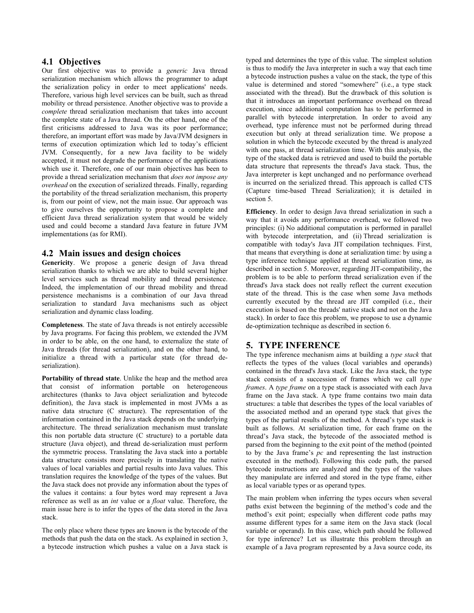#### **4.1 Objectives**

Our first objective was to provide a *generic* Java thread serialization mechanism which allows the programmer to adapt the serialization policy in order to meet applications' needs. Therefore, various high level services can be built, such as thread mobility or thread persistence. Another objective was to provide a *complete* thread serialization mechanism that takes into account the complete state of a Java thread. On the other hand, one of the first criticisms addressed to Java was its poor performance; therefore, an important effort was made by Java/JVM designers in terms of execution optimization which led to today's efficient JVM. Consequently, for a new Java facility to be widely accepted, it must not degrade the performance of the applications which use it. Therefore, one of our main objectives has been to provide a thread serialization mechanism that *does not impose any overhead* on the execution of serialized threads. Finally, regarding the portability of the thread serialization mechanism, this property is, from our point of view, not the main issue. Our approach was to give ourselves the opportunity to propose a complete and efficient Java thread serialization system that would be widely used and could become a standard Java feature in future JVM implementations (as for RMI).

#### **4.2 Main issues and design choices**

**Genericity**. We propose a generic design of Java thread serialization thanks to which we are able to build several higher level services such as thread mobility and thread persistence. Indeed, the implementation of our thread mobility and thread persistence mechanisms is a combination of our Java thread serialization to standard Java mechanisms such as object serialization and dynamic class loading.

**Completeness**. The state of Java threads is not entirely accessible by Java programs. For facing this problem, we extended the JVM in order to be able, on the one hand, to externalize the state of Java threads (for thread serialization), and on the other hand, to initialize a thread with a particular state (for thread deserialization).

**Portability of thread state**. Unlike the heap and the method area that consist of information portable on heterogeneous architectures (thanks to Java object serialization and bytecode definition), the Java stack is implemented in most JVMs a as native data structure (C structure). The representation of the information contained in the Java stack depends on the underlying architecture. The thread serialization mechanism must translate this non portable data structure (C structure) to a portable data structure (Java object), and thread de-serialization must perform the symmetric process. Translating the Java stack into a portable data structure consists more precisely in translating the native values of local variables and partial results into Java values. This translation requires the knowledge of the types of the values. But the Java stack does not provide any information about the types of the values it contains: a four bytes word may represent a Java reference as well as an *int* value or a *float* value. Therefore, the main issue here is to infer the types of the data stored in the Java stack.

The only place where these types are known is the bytecode of the methods that push the data on the stack. As explained in section 3, a bytecode instruction which pushes a value on a Java stack is typed and determines the type of this value. The simplest solution is thus to modify the Java interpreter in such a way that each time a bytecode instruction pushes a value on the stack, the type of this value is determined and stored "somewhere" (i.e., a type stack associated with the thread). But the drawback of this solution is that it introduces an important performance overhead on thread execution, since additional computation has to be performed in parallel with bytecode interpretation. In order to avoid any overhead, type inference must not be performed during thread execution but only at thread serialization time. We propose a solution in which the bytecode executed by the thread is analyzed with one pass, at thread serialization time. With this analysis, the type of the stacked data is retrieved and used to build the portable data structure that represents the thread's Java stack. Thus, the Java interpreter is kept unchanged and no performance overhead is incurred on the serialized thread. This approach is called CTS (Capture time-based Thread Serialization); it is detailed in section 5.

**Efficiency**. In order to design Java thread serialization in such a way that it avoids any performance overhead, we followed two principles: (i) No additional computation is performed in parallel with bytecode interpretation, and (ii) Thread serialization is compatible with today's Java JIT compilation techniques. First, that means that everything is done at serialization time: by using a type inference technique applied at thread serialization time, as described in section 5. Moreover, regarding JIT-compatibility, the problem is to be able to perform thread serialization even if the thread's Java stack does not really reflect the current execution state of the thread. This is the case when some Java methods currently executed by the thread are JIT compiled (i.e., their execution is based on the threads' native stack and not on the Java stack). In order to face this problem, we propose to use a dynamic de-optimization technique as described in section 6.

# **5. TYPE INFERENCE**

The type inference mechanism aims at building a *type stack* that reflects the types of the values (local variables and operands) contained in the thread's Java stack. Like the Java stack, the type stack consists of a succession of frames which we call *type frames*. A *type frame* on a type stack is associated with each Java frame on the Java stack. A type frame contains two main data structures: a table that describes the types of the local variables of the associated method and an operand type stack that gives the types of the partial results of the method. A thread's type stack is built as follows. At serialization time, for each frame on the thread's Java stack, the bytecode of the associated method is parsed from the beginning to the exit point of the method (pointed to by the Java frame's *pc* and representing the last instruction executed in the method). Following this code path, the parsed bytecode instructions are analyzed and the types of the values they manipulate are inferred and stored in the type frame, either as local variable types or as operand types.

The main problem when inferring the types occurs when several paths exist between the beginning of the method's code and the method's exit point; especially when different code paths may assume different types for a same item on the Java stack (local variable or operand). In this case, which path should be followed for type inference? Let us illustrate this problem through an example of a Java program represented by a Java source code, its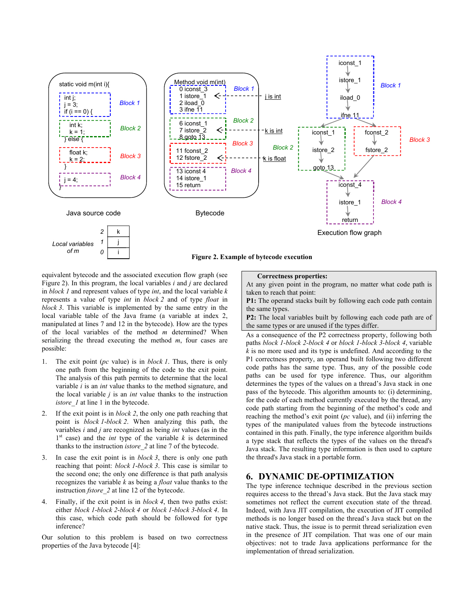

equivalent bytecode and the associated execution flow graph (see Figure 2). In this program, the local variables *i* and *j* are declared in *block 1* and represent values of type *int*, and the local variable *k* represents a value of type *int* in *block 2* and of type *float* in *block 3*. This variable is implemented by the same entry in the local variable table of the Java frame (a variable at index 2, manipulated at lines 7 and 12 in the bytecode). How are the types of the local variables of the method *m* determined? When serializing the thread executing the method *m*, four cases are possible:

- 1. The exit point (*pc* value) is in *block 1*. Thus, there is only one path from the beginning of the code to the exit point. The analysis of this path permits to determine that the local variable *i* is an *int* value thanks to the method signature, and the local variable *j* is an *int* value thanks to the instruction *istore 1* at line 1 in the bytecode.
- 2. If the exit point is in *block 2*, the only one path reaching that point is *block 1*-*block 2*. When analyzing this path, the variables *i* and *j* are recognized as being *int* values (as in the  $1<sup>st</sup>$  case) and the *int* type of the variable *k* is determined thanks to the instruction *istore\_2* at line 7 of the bytecode.
- 3. In case the exit point is in *block 3*, there is only one path reaching that point: *block 1*-*block 3*. This case is similar to the second one; the only one difference is that path analysis recognizes the variable *k* as being a *float* value thanks to the instruction *fstore\_2* at line 12 of the bytecode.
- 4. Finally, if the exit point is in *block 4*, then two paths exist: either *block 1*-*block 2*-*block 4* or *block 1*-*block 3*-*block 4*. In this case, which code path should be followed for type inference?

Our solution to this problem is based on two correctness properties of the Java bytecode [4]:

#### **Correctness properties:**

At any given point in the program, no matter what code path is taken to reach that point:

**P1:** The operand stacks built by following each code path contain the same types.

**P2:** The local variables built by following each code path are of the same types or are unused if the types differ.

As a consequence of the P2 correctness property, following both paths *block 1-block 2-block 4* or *block 1-block 3-block 4*, variable *k* is no more used and its type is undefined. And according to the P1 correctness property, an operand built following two different code paths has the same type. Thus, any of the possible code paths can be used for type inference. Thus, our algorithm determines the types of the values on a thread's Java stack in one pass of the bytecode. This algorithm amounts to: (i) determining, for the code of each method currently executed by the thread, any code path starting from the beginning of the method's code and reaching the method's exit point (*pc* value), and (ii) inferring the types of the manipulated values from the bytecode instructions contained in this path. Finally, the type inference algorithm builds a type stack that reflects the types of the values on the thread's Java stack. The resulting type information is then used to capture the thread's Java stack in a portable form.

## **6. DYNAMIC DE-OPTIMIZATION**

The type inference technique described in the previous section requires access to the thread's Java stack. But the Java stack may sometimes not reflect the current execution state of the thread. Indeed, with Java JIT compilation, the execution of JIT compiled methods is no longer based on the thread's Java stack but on the native stack. Thus, the issue is to permit thread serialization even in the presence of JIT compilation. That was one of our main objectives: not to trade Java applications performance for the implementation of thread serialization.